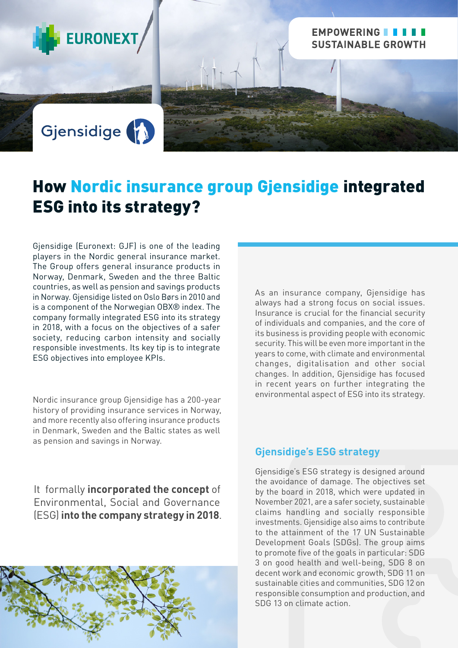

# Gjensidige (1)

# How Nordic insurance group Gjensidige integrated ESG into its strategy?

Gjensidige (Euronext: GJF) is one of the leading players in the Nordic general insurance market. The Group offers general insurance products in Norway, Denmark, Sweden and the three Baltic countries, as well as pension and savings products in Norway. Gjensidige listed on Oslo Børs in 2010 and is a component of the Norwegian OBX® index. The company formally integrated ESG into its strategy in 2018, with a focus on the objectives of a safer society, reducing carbon intensity and socially responsible investments. Its key tip is to integrate ESG objectives into employee KPIs.

Nordic insurance group Gjensidige has a 200-year history of providing insurance services in Norway, and more recently also offering insurance products in Denmark, Sweden and the Baltic states as well as pension and savings in Norway.

As an insurance company, Gjensidige has always had a strong focus on social issues. Insurance is crucial for the financial security of individuals and companies, and the core of its business is providing people with economic security. This will be even more important in the years to come, with climate and environmental changes, digitalisation and other social changes. In addition, Gjensidige has focused in recent years on further integrating the environmental aspect of ESG into its strategy.

EMPOWERING **III** 

**SUSTAINABLE GROWTH** 

It formally **incorporated the concept** of Environmental, Social and Governance (ESG) **into the company strategy in 2018**.



### **Gjensidige's ESG strategy**

Gjensidige's ESG strategy is designed around the avoidance of damage. The objectives set by the board in 2018, which were updated in November 2021, are a safer society, sustainable claims handling and socially responsible investments. Gjensidige also aims to contribute to the attainment of the 17 UN Sustainable Development Goals (SDGs). The group aims to promote five of the goals in particular: SDG 3 on good health and well-being, SDG 8 on decent work and economic growth, SDG 11 on sustainable cities and communities, SDG 12 on responsible consumption and production, and SDG 13 on climate action.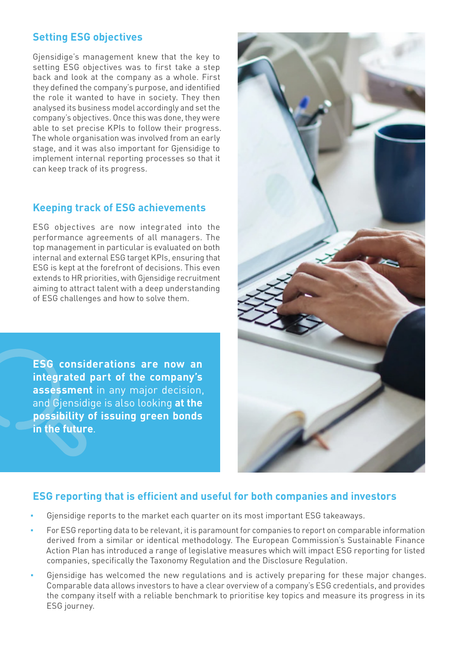# **Setting ESG objectives**

Gjensidige's management knew that the key to setting ESG objectives was to first take a step back and look at the company as a whole. First they defined the company's purpose, and identified the role it wanted to have in society. They then analysed its business model accordingly and set the company's objectives. Once this was done, they were able to set precise KPIs to follow their progress. The whole organisation was involved from an early stage, and it was also important for Gjensidige to implement internal reporting processes so that it can keep track of its progress.

### **Keeping track of ESG achievements**

ESG objectives are now integrated into the performance agreements of all managers. The top management in particular is evaluated on both internal and external ESG target KPIs, ensuring that ESG is kept at the forefront of decisions. This even extends to HR priorities, with Gjensidige recruitment aiming to attract talent with a deep understanding of ESG challenges and how to solve them.

**ESG considerations are now an integrated part of the company's assessment** in any major decision, and Gjensidige is also looking **at the possibility of issuing green bonds in the future**.



## **ESG reporting that is efficient and useful for both companies and investors**

- Gjensidige reports to the market each quarter on its most important ESG takeaways.
- For ESG reporting data to be relevant, it is paramount for companies to report on comparable information derived from a similar or identical methodology. The European Commission's Sustainable Finance Action Plan has introduced a range of legislative measures which will impact ESG reporting for listed companies, specifically the Taxonomy Regulation and the Disclosure Regulation.
- Gjensidige has welcomed the new regulations and is actively preparing for these major changes. Comparable data allows investors to have a clear overview of a company's ESG credentials, and provides the company itself with a reliable benchmark to prioritise key topics and measure its progress in its ESG journey.